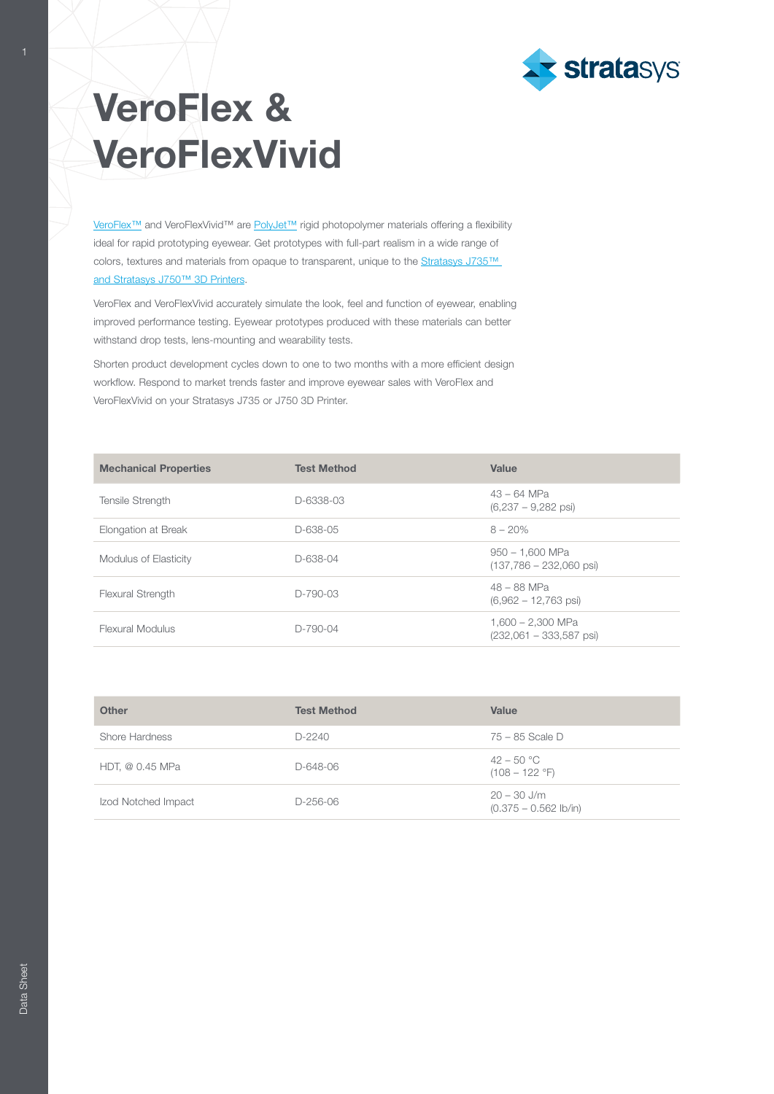

## VeroFlex & VeroFlexVivid

[VeroFlex™](http://www.stratasys.com/materials/search/veroflex?utm_source=data-sheet&utm_medium=pdf&utm_content=veroflex-data-sheet-link-1-veroflex) and VeroFlexVivid™ are [PolyJet™](http://www.stratasys.com/polyjet-technology?utm_source=data-sheet&utm_medium=pdf&utm_content=veroflex-data-sheet-link-3-polyjet) rigid photopolymer materials offering a flexibility ideal for rapid prototyping eyewear. Get prototypes with full-part realism in a wide range of colors, textures and materials from opaque to transparent, unique to the Stratasys J735™ [and Stratasys J750™ 3D Printers](http://www.stratasys.com/3d-printers/j735-j750?utm_source=data-sheet&utm_medium=pdf&utm_content=veroflex-data-sheet-link-4-j735-j750).

VeroFlex and VeroFlexVivid accurately simulate the look, feel and function of eyewear, enabling improved performance testing. Eyewear prototypes produced with these materials can better withstand drop tests, lens-mounting and wearability tests.

Shorten product development cycles down to one to two months with a more efficient design workflow. Respond to market trends faster and improve eyewear sales with VeroFlex and VeroFlexVivid on your Stratasys J735 or J750 3D Printer.

| <b>Mechanical Properties</b> | <b>Test Method</b> | Value                                                  |
|------------------------------|--------------------|--------------------------------------------------------|
| <b>Tensile Strength</b>      | D-6338-03          | $43 - 64$ MPa<br>$(6,237 - 9,282$ psi                  |
| Elongation at Break          | D-638-05           | $8 - 20%$                                              |
| Modulus of Elasticity        | D-638-04           | $950 - 1,600$ MPa<br>$(137,786 - 232,060 \text{ psi})$ |
| <b>Flexural Strength</b>     | $D-790-03$         | $48 - 88$ MPa<br>$(6,962 - 12,763 \text{ psi})$        |
| Flexural Modulus             | $D-790-04$         | 1.600 - 2.300 MPa<br>$(232,061 - 333,587 \text{ psi})$ |

| <b>Other</b>        | <b>Test Method</b> | Value                                          |
|---------------------|--------------------|------------------------------------------------|
| Shore Hardness      | $D-2240$           | $75 - 85$ Scale D                              |
| HDT, @ 0.45 MPa     | D-648-06           | $42 - 50 °C$<br>$(108 - 122 \text{ }^\circ F)$ |
| Izod Notched Impact | D-256-06           | $20 - 30$ J/m<br>$(0.375 - 0.562$ lb/in)       |

1